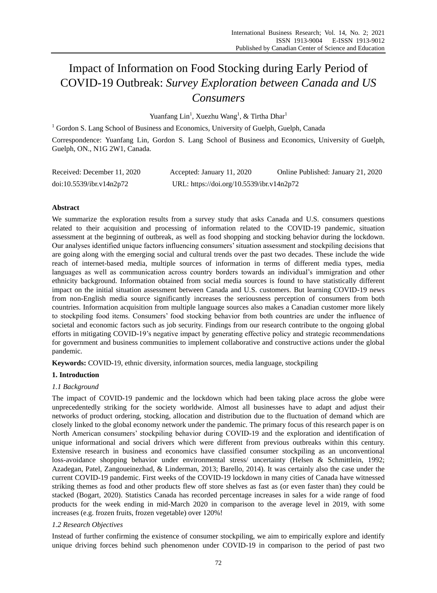# Impact of Information on Food Stocking during Early Period of COVID-19 Outbreak: *Survey Exploration between Canada and US Consumers*

Yuanfang Lin<sup>1</sup>, Xuezhu Wang<sup>1</sup>, & Tirtha Dhar<sup>1</sup>

<sup>1</sup> Gordon S. Lang School of Business and Economics, University of Guelph, Guelph, Canada Correspondence: Yuanfang Lin, Gordon S. Lang School of Business and Economics, University of Guelph, Guelph, ON., N1G 2W1, Canada.

| Received: December 11, 2020 | Accepted: January 11, 2020                | Online Published: January 21, 2020 |
|-----------------------------|-------------------------------------------|------------------------------------|
| doi:10.5539/ibr.v14n2p72    | URL: https://doi.org/10.5539/ibr.v14n2p72 |                                    |

## **Abstract**

We summarize the exploration results from a survey study that asks Canada and U.S. consumers questions related to their acquisition and processing of information related to the COVID-19 pandemic, situation assessment at the beginning of outbreak, as well as food shopping and stocking behavior during the lockdown. Our analyses identified unique factors influencing consumers" situation assessment and stockpiling decisions that are going along with the emerging social and cultural trends over the past two decades. These include the wide reach of internet-based media, multiple sources of information in terms of different media types, media languages as well as communication across country borders towards an individual"s immigration and other ethnicity background. Information obtained from social media sources is found to have statistically different impact on the initial situation assessment between Canada and U.S. customers. But learning COVID-19 news from non-English media source significantly increases the seriousness perception of consumers from both countries. Information acquisition from multiple language sources also makes a Canadian customer more likely to stockpiling food items. Consumers" food stocking behavior from both countries are under the influence of societal and economic factors such as job security. Findings from our research contribute to the ongoing global efforts in mitigating COVID-19"s negative impact by generating effective policy and strategic recommendations for government and business communities to implement collaborative and constructive actions under the global pandemic.

**Keywords:** COVID-19, ethnic diversity, information sources, media language, stockpiling

## **1. Introduction**

## *1.1 Background*

The impact of COVID-19 pandemic and the lockdown which had been taking place across the globe were unprecedentedly striking for the society worldwide. Almost all businesses have to adapt and adjust their networks of product ordering, stocking, allocation and distribution due to the fluctuation of demand which are closely linked to the global economy network under the pandemic. The primary focus of this research paper is on North American consumers" stockpiling behavior during COVID-19 and the exploration and identification of unique informational and social drivers which were different from previous outbreaks within this century. Extensive research in business and economics have classified consumer stockpiling as an unconventional loss-avoidance shopping behavior under environmental stress/ uncertainty (Helsen & Schmittlein, 1992; Azadegan, Patel, Zangoueinezhad, & Linderman, 2013; Barello, 2014). It was certainly also the case under the current COVID-19 pandemic. First weeks of the COVID-19 lockdown in many cities of Canada have witnessed striking themes as food and other products flew off store shelves as fast as (or even faster than) they could be stacked (Bogart, 2020). Statistics Canada has recorded percentage increases in sales for a wide range of food products for the week ending in mid-March 2020 in comparison to the average level in 2019, with some increases (e.g. frozen fruits, frozen vegetable) over 120%!

# *1.2 Research Objectives*

Instead of further confirming the existence of consumer stockpiling, we aim to empirically explore and identify unique driving forces behind such phenomenon under COVID-19 in comparison to the period of past two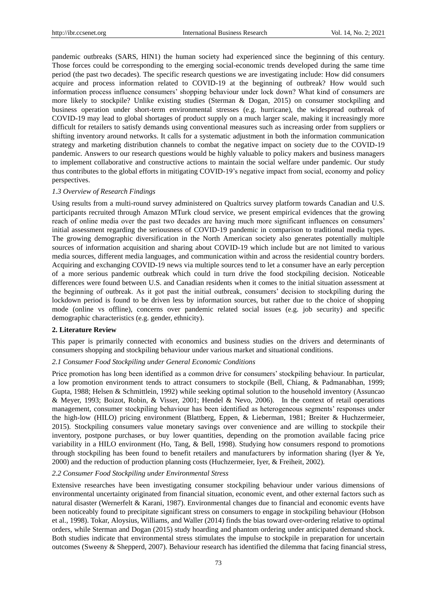pandemic outbreaks (SARS, HIN1) the human society had experienced since the beginning of this century. Those forces could be corresponding to the emerging social-economic trends developed during the same time period (the past two decades). The specific research questions we are investigating include: How did consumers acquire and process information related to COVID-19 at the beginning of outbreak? How would such information process influence consumers" shopping behaviour under lock down? What kind of consumers are more likely to stockpile? Unlike existing studies (Sterman & Dogan, 2015) on consumer stockpiling and business operation under short-term environmental stresses (e.g. hurricane), the widespread outbreak of COVID-19 may lead to global shortages of product supply on a much larger scale, making it increasingly more difficult for retailers to satisfy demands using conventional measures such as increasing order from suppliers or shifting inventory around networks. It calls for a systematic adjustment in both the information communication strategy and marketing distribution channels to combat the negative impact on society due to the COVID-19 pandemic. Answers to our research questions would be highly valuable to policy makers and business managers to implement collaborative and constructive actions to maintain the social welfare under pandemic. Our study thus contributes to the global efforts in mitigating COVID-19"s negative impact from social, economy and policy perspectives.

#### *1.3 Overview of Research Findings*

Using results from a multi-round survey administered on Qualtrics survey platform towards Canadian and U.S. participants recruited through Amazon MTurk cloud service, we present empirical evidences that the growing reach of online media over the past two decades are having much more significant influences on consumers" initial assessment regarding the seriousness of COVID-19 pandemic in comparison to traditional media types. The growing demographic diversification in the North American society also generates potentially multiple sources of information acquisition and sharing about COVID-19 which include but are not limited to various media sources, different media languages, and communication within and across the residential country borders. Acquiring and exchanging COVID-19 news via multiple sources tend to let a consumer have an early perception of a more serious pandemic outbreak which could in turn drive the food stockpiling decision. Noticeable differences were found between U.S. and Canadian residents when it comes to the initial situation assessment at the beginning of outbreak. As it got past the initial outbreak, consumers" decision to stockpiling during the lockdown period is found to be driven less by information sources, but rather due to the choice of shopping mode (online vs offline), concerns over pandemic related social issues (e.g. job security) and specific demographic characteristics (e.g. gender, ethnicity).

#### **2. Literature Review**

This paper is primarily connected with economics and business studies on the drivers and determinants of consumers shopping and stockpiling behaviour under various market and situational conditions.

#### *2.1 Consumer Food Stockpiling under General Economic Conditions*

Price promotion has long been identified as a common drive for consumers' stockpiling behaviour. In particular, a low promotion environment tends to attract consumers to stockpile (Bell, Chiang, & Padmanabhan, 1999; Gupta, 1988; Helsen & Schmittlein, 1992) while seeking optimal solution to the household inventory (Assuncao & Meyer, 1993; Boizot, Robin, & Visser, 2001; Hendel & Nevo, 2006). In the context of retail operations management, consumer stockpiling behaviour has been identified as heterogeneous segments" responses under the high-low (HILO) pricing environment (Blattberg, Eppen, & Lieberman, 1981; Breiter & Huchzermeier, 2015). Stockpiling consumers value monetary savings over convenience and are willing to stockpile their inventory, postpone purchases, or buy lower quantities, depending on the promotion available facing price variability in a HILO environment (Ho, Tang, & Bell, 1998). Studying how consumers respond to promotions through stockpiling has been found to benefit retailers and manufacturers by information sharing (Iyer & Ye, 2000) and the reduction of production planning costs (Huchzermeier, Iyer, & Freiheit, 2002).

#### *2.2 Consumer Food Stockpiling under Environmental Stress*

Extensive researches have been investigating consumer stockpiling behaviour under various dimensions of environmental uncertainty originated from financial situation, economic event, and other external factors such as natural disaster (Wernerfelt & Karani, 1987). Environmental changes due to financial and economic events have been noticeably found to precipitate significant stress on consumers to engage in stockpiling behaviour (Hobson et al., 1998). Tokar, Aloysius, Williams, and Waller (2014) finds the bias toward over-ordering relative to optimal orders, while Sterman and Dogan (2015) study hoarding and phantom ordering under anticipated demand shock. Both studies indicate that environmental stress stimulates the impulse to stockpile in preparation for uncertain outcomes (Sweeny & Shepperd, 2007). Behaviour research has identified the dilemma that facing financial stress,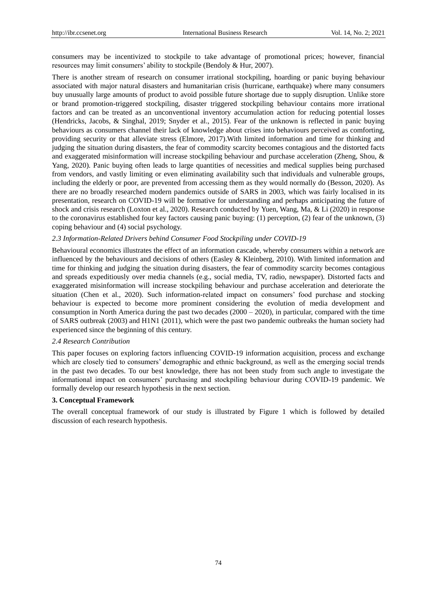consumers may be incentivized to stockpile to take advantage of promotional prices; however, financial resources may limit consumers' ability to stockpile (Bendoly & Hur, 2007).

There is another stream of research on consumer irrational stockpiling, hoarding or panic buying behaviour associated with major natural disasters and humanitarian crisis (hurricane, earthquake) where many consumers buy unusually large amounts of product to avoid possible future shortage due to supply disruption. Unlike store or brand promotion-triggered stockpiling, disaster triggered stockpiling behaviour contains more irrational factors and can be treated as an unconventional inventory accumulation action for reducing potential losses (Hendricks, Jacobs, & Singhal, 2019; Snyder et al., 2015). Fear of the unknown is reflected in panic buying behaviours as consumers channel their lack of knowledge about crises into behaviours perceived as comforting, providing security or that alleviate stress (Elmore, 2017).With limited information and time for thinking and judging the situation during disasters, the fear of commodity scarcity becomes contagious and the distorted facts and exaggerated misinformation will increase stockpiling behaviour and purchase acceleration (Zheng, Shou, & Yang, 2020). Panic buying often leads to large quantities of necessities and medical supplies being purchased from vendors, and vastly limiting or even eliminating availability such that individuals and vulnerable groups, including the elderly or poor, are prevented from accessing them as they would normally do (Besson, 2020). As there are no broadly researched modern pandemics outside of SARS in 2003, which was fairly localised in its presentation, research on COVID-19 will be formative for understanding and perhaps anticipating the future of shock and crisis research (Loxton et al., 2020). Research conducted by Yuen, Wang, Ma, & Li (2020) in response to the coronavirus established four key factors causing panic buying: (1) perception, (2) fear of the unknown, (3) coping behaviour and (4) social psychology.

## *2.3 Information-Related Drivers behind Consumer Food Stockpiling under COVID-19*

Behavioural economics illustrates the effect of an information cascade, whereby consumers within a network are influenced by the behaviours and decisions of others (Easley & Kleinberg, 2010). With limited information and time for thinking and judging the situation during disasters, the fear of commodity scarcity becomes contagious and spreads expeditiously over media channels (e.g., social media, TV, radio, newspaper). Distorted facts and exaggerated misinformation will increase stockpiling behaviour and purchase acceleration and deteriorate the situation (Chen et al., 2020). Such information-related impact on consumers" food purchase and stocking behaviour is expected to become more prominent considering the evolution of media development and consumption in North America during the past two decades  $(2000 - 2020)$ , in particular, compared with the time of SARS outbreak (2003) and H1N1 (2011), which were the past two pandemic outbreaks the human society had experienced since the beginning of this century.

## *2.4 Research Contribution*

This paper focuses on exploring factors influencing COVID-19 information acquisition, process and exchange which are closely tied to consumers" demographic and ethnic background, as well as the emerging social trends in the past two decades. To our best knowledge, there has not been study from such angle to investigate the informational impact on consumers" purchasing and stockpiling behaviour during COVID-19 pandemic. We formally develop our research hypothesis in the next section.

## **3. Conceptual Framework**

The overall conceptual framework of our study is illustrated by Figure 1 which is followed by detailed discussion of each research hypothesis.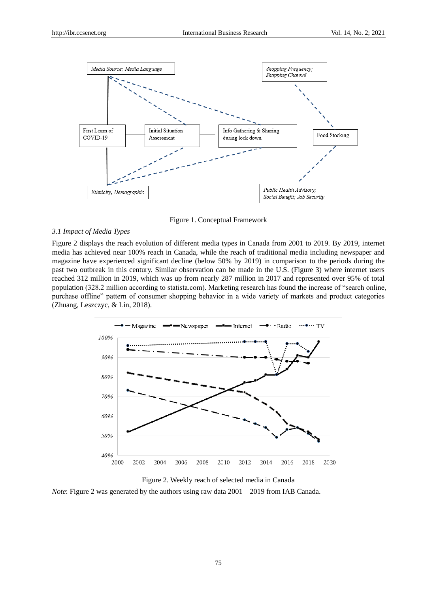



#### *3.1 Impact of Media Types*

Figure 2 displays the reach evolution of different media types in Canada from 2001 to 2019. By 2019, internet media has achieved near 100% reach in Canada, while the reach of traditional media including newspaper and magazine have experienced significant decline (below 50% by 2019) in comparison to the periods during the past two outbreak in this century. Similar observation can be made in the U.S. (Figure 3) where internet users reached 312 million in 2019, which was up from nearly 287 million in 2017 and represented over 95% of total population (328.2 million according to statista.com). Marketing research has found the increase of "search online, purchase offline" pattern of consumer shopping behavior in a wide variety of markets and product categories (Zhuang, Leszczyc, & Lin, 2018).





*Note*: Figure 2 was generated by the authors using raw data  $2001 - 2019$  from IAB Canada.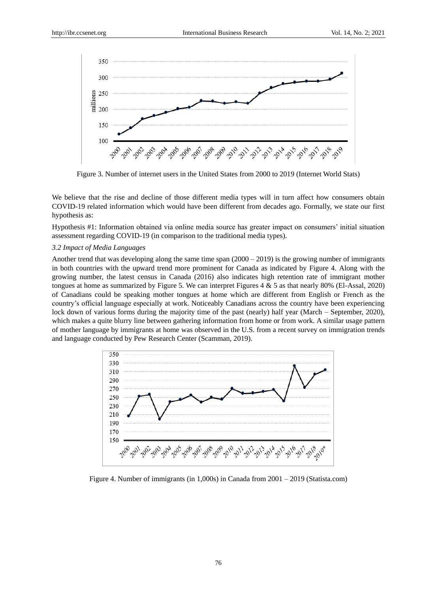

Figure 3. Number of internet users in the United States from 2000 to 2019 (Internet World Stats)

We believe that the rise and decline of those different media types will in turn affect how consumers obtain COVID-19 related information which would have been different from decades ago. Formally, we state our first hypothesis as:

Hypothesis #1: Information obtained via online media source has greater impact on consumers" initial situation assessment regarding COVID-19 (in comparison to the traditional media types).

## *3.2 Impact of Media Languages*

Another trend that was developing along the same time span  $(2000 - 2019)$  is the growing number of immigrants in both countries with the upward trend more prominent for Canada as indicated by Figure 4. Along with the growing number, the latest census in Canada (2016) also indicates high retention rate of immigrant mother tongues at home as summarized by Figure 5. We can interpret Figures 4 & 5 as that nearly 80% (El-Assal, 2020) of Canadians could be speaking mother tongues at home which are different from English or French as the country"s official language especially at work. Noticeably Canadians across the country have been experiencing lock down of various forms during the majority time of the past (nearly) half year (March – September, 2020), which makes a quite blurry line between gathering information from home or from work. A similar usage pattern of mother language by immigrants at home was observed in the U.S. from a recent survey on immigration trends and language conducted by Pew Research Center (Scamman, 2019).



Figure 4. Number of immigrants (in 1,000s) in Canada from 2001 – 2019 (Statista.com)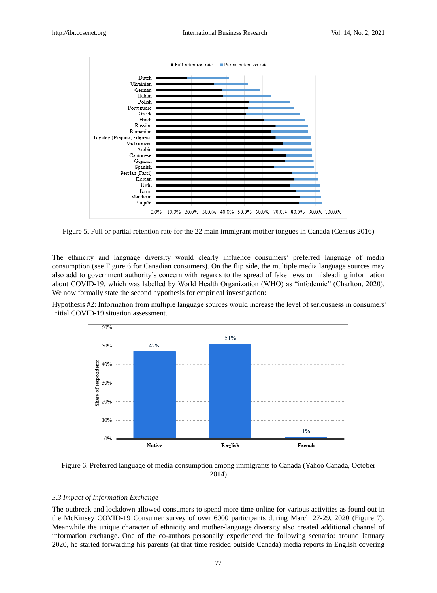

Figure 5. Full or partial retention rate for the 22 main immigrant mother tongues in Canada (Census 2016)

The ethnicity and language diversity would clearly influence consumers" preferred language of media consumption (see Figure 6 for Canadian consumers). On the flip side, the multiple media language sources may also add to government authority"s concern with regards to the spread of fake news or misleading information about COVID-19, which was labelled by World Health Organization (WHO) as "infodemic" (Charlton, 2020). We now formally state the second hypothesis for empirical investigation:

Hypothesis #2: Information from multiple language sources would increase the level of seriousness in consumers" initial COVID-19 situation assessment.





## *3.3 Impact of Information Exchange*

The outbreak and lockdown allowed consumers to spend more time online for various activities as found out in the McKinsey COVID-19 Consumer survey of over 6000 participants during March 27-29, 2020 (Figure 7). Meanwhile the unique character of ethnicity and mother-language diversity also created additional channel of information exchange. One of the co-authors personally experienced the following scenario: around January 2020, he started forwarding his parents (at that time resided outside Canada) media reports in English covering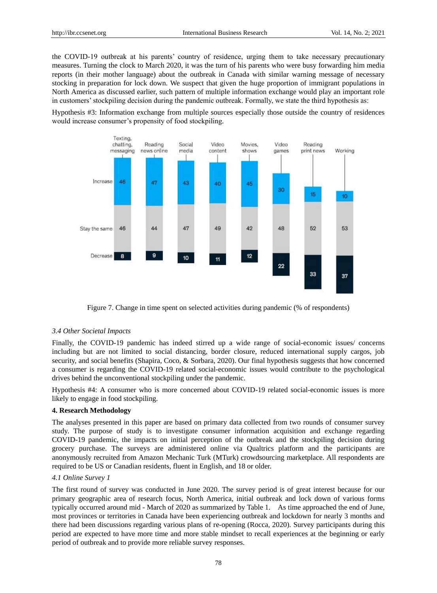the COVID-19 outbreak at his parents" country of residence, urging them to take necessary precautionary measures. Turning the clock to March 2020, it was the turn of his parents who were busy forwarding him media reports (in their mother language) about the outbreak in Canada with similar warning message of necessary stocking in preparation for lock down. We suspect that given the huge proportion of immigrant populations in North America as discussed earlier, such pattern of multiple information exchange would play an important role in customers" stockpiling decision during the pandemic outbreak. Formally, we state the third hypothesis as:

Hypothesis #3: Information exchange from multiple sources especially those outside the country of residences would increase consumer"s propensity of food stockpiling*.*



Figure 7. Change in time spent on selected activities during pandemic (% of respondents)

## *3.4 Other Societal Impacts*

Finally, the COVID-19 pandemic has indeed stirred up a wide range of social-economic issues/ concerns including but are not limited to social distancing, border closure, reduced international supply cargos, job security, and social benefits (Shapira, Coco, & Sorbara, 2020). Our final hypothesis suggests that how concerned a consumer is regarding the COVID-19 related social-economic issues would contribute to the psychological drives behind the unconventional stockpiling under the pandemic.

Hypothesis #4: A consumer who is more concerned about COVID-19 related social-economic issues is more likely to engage in food stockpiling.

## **4. Research Methodology**

The analyses presented in this paper are based on primary data collected from two rounds of consumer survey study. The purpose of study is to investigate consumer information acquisition and exchange regarding COVID-19 pandemic, the impacts on initial perception of the outbreak and the stockpiling decision during grocery purchase. The surveys are administered online via Qualtrics platform and the participants are anonymously recruited from Amazon Mechanic Turk (MTurk) crowdsourcing marketplace. All respondents are required to be US or Canadian residents, fluent in English, and 18 or older.

## *4.1 Online Survey 1*

The first round of survey was conducted in June 2020. The survey period is of great interest because for our primary geographic area of research focus, North America, initial outbreak and lock down of various forms typically occurred around mid - March of 2020 as summarized by Table 1. As time approached the end of June, most provinces or territories in Canada have been experiencing outbreak and lockdown for nearly 3 months and there had been discussions regarding various plans of re-opening (Rocca, 2020). Survey participants during this period are expected to have more time and more stable mindset to recall experiences at the beginning or early period of outbreak and to provide more reliable survey responses.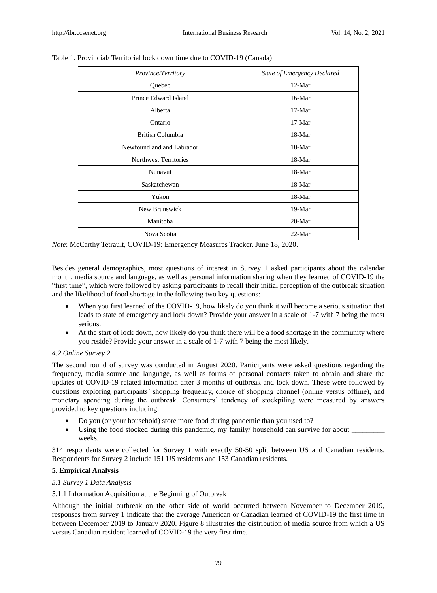| Province/Territory           | <b>State of Emergency Declared</b> |
|------------------------------|------------------------------------|
| Quebec                       | 12-Mar                             |
| Prince Edward Island         | $16-Mar$                           |
| Alberta                      | $17-Mar$                           |
| Ontario                      | $17-Mar$                           |
| British Columbia             | 18-Mar                             |
| Newfoundland and Labrador    | $18-Mar$                           |
| <b>Northwest Territories</b> | $18-Mar$                           |
| Nunavut                      | $18-Mar$                           |
| Saskatchewan                 | $18-Mar$                           |
| Yukon                        | 18-Mar                             |
| New Brunswick                | $19-Mar$                           |
| Manitoba                     | $20-Mar$                           |
| Nova Scotia                  | $22-Mar$                           |

Table 1. Provincial/ Territorial lock down time due to COVID-19 (Canada)

*Note*: McCarthy Tetrault, COVID-19: Emergency Measures Tracker, June 18, 2020.

Besides general demographics, most questions of interest in Survey 1 asked participants about the calendar month, media source and language, as well as personal information sharing when they learned of COVID-19 the "first time", which were followed by asking participants to recall their initial perception of the outbreak situation and the likelihood of food shortage in the following two key questions:

- When you first learned of the COVID-19, how likely do you think it will become a serious situation that leads to state of emergency and lock down? Provide your answer in a scale of 1-7 with 7 being the most serious.
- At the start of lock down, how likely do you think there will be a food shortage in the community where you reside? Provide your answer in a scale of 1-7 with 7 being the most likely.

## *4.2 Online Survey 2*

The second round of survey was conducted in August 2020. Participants were asked questions regarding the frequency, media source and language, as well as forms of personal contacts taken to obtain and share the updates of COVID-19 related information after 3 months of outbreak and lock down. These were followed by questions exploring participants" shopping frequency, choice of shopping channel (online versus offline), and monetary spending during the outbreak. Consumers" tendency of stockpiling were measured by answers provided to key questions including:

- Do you (or your household) store more food during pandemic than you used to?
- Using the food stocked during this pandemic, my family/ household can survive for about \_\_\_\_\_\_\_\_\_ weeks.

314 respondents were collected for Survey 1 with exactly 50-50 split between US and Canadian residents. Respondents for Survey 2 include 151 US residents and 153 Canadian residents.

# **5. Empirical Analysis**

## *5.1 Survey 1 Data Analysis*

5.1.1 Information Acquisition at the Beginning of Outbreak

Although the initial outbreak on the other side of world occurred between November to December 2019, responses from survey 1 indicate that the average American or Canadian learned of COVID-19 the first time in between December 2019 to January 2020. Figure 8 illustrates the distribution of media source from which a US versus Canadian resident learned of COVID-19 the very first time.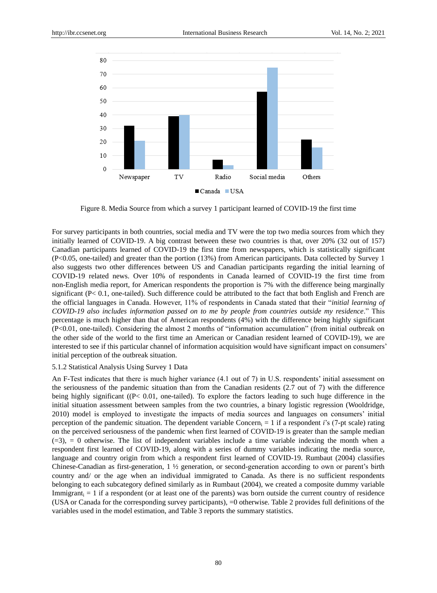

Figure 8. Media Source from which a survey 1 participant learned of COVID-19 the first time

For survey participants in both countries, social media and TV were the top two media sources from which they initially learned of COVID-19. A big contrast between these two countries is that, over 20% (32 out of 157) Canadian participants learned of COVID-19 the first time from newspapers, which is statistically significant (P<0.05, one-tailed) and greater than the portion (13%) from American participants. Data collected by Survey 1 also suggests two other differences between US and Canadian participants regarding the initial learning of COVID-19 related news. Over 10% of respondents in Canada learned of COVID-19 the first time from non-English media report, for American respondents the proportion is 7% with the difference being marginally significant (P< 0.1, one-tailed). Such difference could be attributed to the fact that both English and French are the official languages in Canada. However, 11% of respondents in Canada stated that their "*initial learning of COVID-19 also includes information passed on to me by people from countries outside my residence*." This percentage is much higher than that of American respondents (4%) with the difference being highly significant (P<0.01, one-tailed). Considering the almost 2 months of "information accumulation" (from initial outbreak on the other side of the world to the first time an American or Canadian resident learned of COVID-19), we are interested to see if this particular channel of information acquisition would have significant impact on consumers" initial perception of the outbreak situation.

## 5.1.2 Statistical Analysis Using Survey 1 Data

An F-Test indicates that there is much higher variance (4.1 out of 7) in U.S. respondents' initial assessment on the seriousness of the pandemic situation than from the Canadian residents (2.7 out of 7) with the difference being highly significant ((P< 0.01, one-tailed). To explore the factors leading to such huge difference in the initial situation assessment between samples from the two countries, a binary logistic regression (Wooldridge, 2010) model is employed to investigate the impacts of media sources and languages on consumers" initial perception of the pandemic situation. The dependent variable Concern<sub>i</sub>  $= 1$  if a respondent *i*'s (7-pt scale) rating on the perceived seriousness of the pandemic when first learned of COVID-19 is greater than the sample median  $(-3)$ ,  $= 0$  otherwise. The list of independent variables include a time variable indexing the month when a respondent first learned of COVID-19, along with a series of dummy variables indicating the media source, language and country origin from which a respondent first learned of COVID-19. Rumbaut (2004) classifies Chinese-Canadian as first-generation, 1 ½ generation, or second-generation according to own or parent"s birth country and/ or the age when an individual immigrated to Canada. As there is no sufficient respondents belonging to each subcategory defined similarly as in Rumbaut (2004), we created a composite dummy variable Immigrant<sub>i</sub>  $= 1$  if a respondent (or at least one of the parents) was born outside the current country of residence (USA or Canada for the corresponding survey participants), =0 otherwise. Table 2 provides full definitions of the variables used in the model estimation, and Table 3 reports the summary statistics.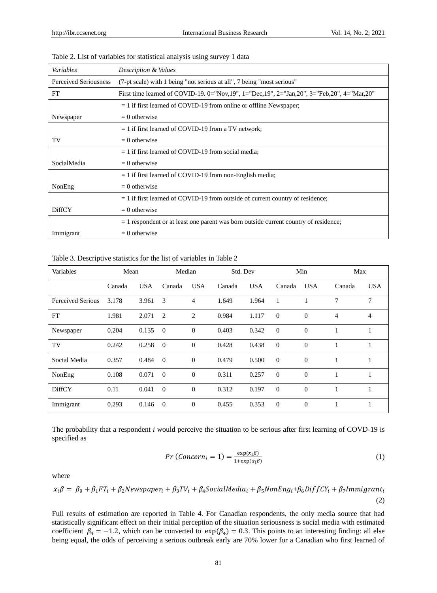| Variables                    | Description & Values                                                                       |
|------------------------------|--------------------------------------------------------------------------------------------|
| <b>Perceived Seriousness</b> | (7-pt scale) with 1 being "not serious at all", 7 being "most serious"                     |
| <b>FT</b>                    | First time learned of COVID-19. 0="Nov,19", 1="Dec,19", 2="Jan,20", 3="Feb,20", 4="Mar,20" |
|                              | $= 1$ if first learned of COVID-19 from online or offline Newspaper;                       |
| Newspaper                    | $= 0$ otherwise                                                                            |
|                              | $= 1$ if first learned of COVID-19 from a TV network;                                      |
| TV                           | $= 0$ otherwise                                                                            |
|                              | $= 1$ if first learned of COVID-19 from social media;                                      |
| SocialMedia                  | $= 0$ otherwise                                                                            |
|                              | $= 1$ if first learned of COVID-19 from non-English media;                                 |
| NonEng                       | $= 0$ otherwise                                                                            |
|                              | $=$ 1 if first learned of COVID-19 from outside of current country of residence;           |
| <b>DiffCY</b>                | $= 0$ otherwise                                                                            |
|                              | $= 1$ respondent or at least one parent was born outside current country of residence;     |
| Immigrant                    | $= 0$ otherwise                                                                            |

Table 2. List of variables for statistical analysis using survey 1 data

Table 3. Descriptive statistics for the list of variables in Table 2

| Variables                | Mean   |            | Median         |              | Std. Dev |            | Min            |                | Max    |                |
|--------------------------|--------|------------|----------------|--------------|----------|------------|----------------|----------------|--------|----------------|
|                          | Canada | <b>USA</b> | Canada         | <b>USA</b>   | Canada   | <b>USA</b> | Canada         | <b>USA</b>     | Canada | USA.           |
| <b>Perceived Serious</b> | 3.178  | 3.961      | 3              | 4            | 1.649    | 1.964      | 1              |                | 7      | 7              |
| <b>FT</b>                | 1.981  | 2.071      | 2              | 2            | 0.984    | 1.117      | $\overline{0}$ | $\overline{0}$ | 4      | $\overline{4}$ |
| Newspaper                | 0.204  | 0.135      | $\Omega$       | $\mathbf{0}$ | 0.403    | 0.342      | $\Omega$       | $\Omega$       |        |                |
| TV                       | 0.242  | 0.258      | $\Omega$       | $\Omega$     | 0.428    | 0.438      | $\Omega$       | $\Omega$       |        |                |
| Social Media             | 0.357  | 0.484      | $\Omega$       | $\theta$     | 0.479    | 0.500      | $\overline{0}$ | $\theta$       | 1      |                |
| NonEng                   | 0.108  | 0.071      | $\Omega$       | $\theta$     | 0.311    | 0.257      | $\overline{0}$ | $\theta$       | -      |                |
| <b>DiffCY</b>            | 0.11   | 0.041      | $\Omega$       | $\theta$     | 0.312    | 0.197      | $\Omega$       | $\Omega$       |        |                |
| Immigrant                | 0.293  | 0.146      | $\overline{0}$ | $\theta$     | 0.455    | 0.353      | $\overline{0}$ | $\Omega$       |        |                |

The probability that a respondent *i* would perceive the situation to be serious after first learning of COVD-19 is specified as

$$
Pr(Concern_i = 1) = \frac{\exp(x_i \beta)}{1 + \exp(x_i \beta)}
$$
(1)

where

$$
x_i\beta = \beta_0 + \beta_1 FT_i + \beta_2 Newspaper_i + \beta_3 TV_i + \beta_4 SocialMedia_i + \beta_5 NonEng_i + \beta_6 DiffCY_i + \beta_7 Immigrant_i
$$
\n(2)

Full results of estimation are reported in Table 4. For Canadian respondents, the only media source that had statistically significant effect on their initial perception of the situation seriousness is social media with estimated coefficient  $\beta_4 = -1.2$ , which can be converted to  $\exp(\beta_4) = 0.3$ . This points to an interesting finding: all else being equal, the odds of perceiving a serious outbreak early are 70% lower for a Canadian who first learned of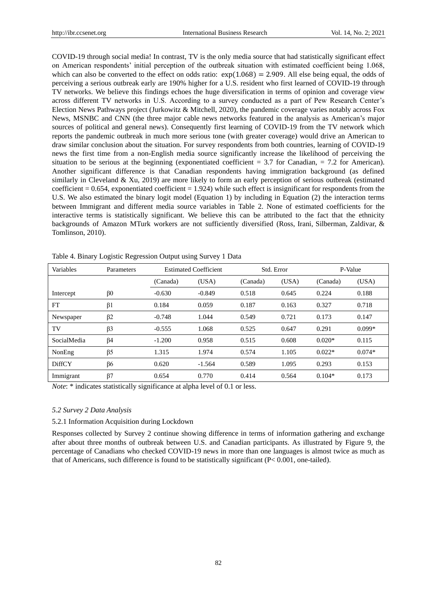COVID-19 through social media! In contrast, TV is the only media source that had statistically significant effect on American respondents" initial perception of the outbreak situation with estimated coefficient being 1.068, which can also be converted to the effect on odds ratio:  $\exp(1.068) = 2.909$ . All else being equal, the odds of perceiving a serious outbreak early are 190% higher for a U.S. resident who first learned of COVID-19 through TV networks. We believe this findings echoes the huge diversification in terms of opinion and coverage view across different TV networks in U.S. According to a survey conducted as a part of Pew Research Center"s Election News Pathways project (Jurkowitz & Mitchell, 2020), the pandemic coverage varies notably across Fox News, MSNBC and CNN (the three major cable news networks featured in the analysis as American"s major sources of political and general news). Consequently first learning of COVID-19 from the TV network which reports the pandemic outbreak in much more serious tone (with greater coverage) would drive an American to draw similar conclusion about the situation. For survey respondents from both countries, learning of COVID-19 news the first time from a non-English media source significantly increase the likelihood of perceiving the situation to be serious at the beginning (exponentiated coefficient  $= 3.7$  for Canadian,  $= 7.2$  for American). Another significant difference is that Canadian respondents having immigration background (as defined similarly in Cleveland & Xu, 2019) are more likely to form an early perception of serious outbreak (estimated coefficient  $= 0.654$ , exponentiated coefficient  $= 1.924$ ) while such effect is insignificant for respondents from the U.S. We also estimated the binary logit model (Equation 1) by including in Equation (2) the interaction terms between Immigrant and different media source variables in Table 2. None of estimated coefficients for the interactive terms is statistically significant. We believe this can be attributed to the fact that the ethnicity backgrounds of Amazon MTurk workers are not sufficiently diversified (Ross, Irani, Silberman, Zaldivar, & Tomlinson, 2010).

| Variables     | Parameters | <b>Estimated Coefficient</b> |          | Std. Error |       | P-Value  |          |
|---------------|------------|------------------------------|----------|------------|-------|----------|----------|
|               |            | (Canada)                     | (USA)    | (Canada)   | (USA) | (Canada) | (USA)    |
| Intercept     | $\beta 0$  | $-0.630$                     | $-0.849$ | 0.518      | 0.645 | 0.224    | 0.188    |
| FT            | $\beta$ 1  | 0.184                        | 0.059    | 0.187      | 0.163 | 0.327    | 0.718    |
| Newspaper     | $\beta$ 2  | $-0.748$                     | 1.044    | 0.549      | 0.721 | 0.173    | 0.147    |
| TV            | $\beta$ 3  | $-0.555$                     | 1.068    | 0.525      | 0.647 | 0.291    | $0.099*$ |
| SocialMedia   | $\beta$ 4  | $-1.200$                     | 0.958    | 0.515      | 0.608 | $0.020*$ | 0.115    |
| NonEng        | $\beta$ 5  | 1.315                        | 1.974    | 0.574      | 1.105 | $0.022*$ | $0.074*$ |
| <b>DiffCY</b> | $\beta$ 6  | 0.620                        | $-1.564$ | 0.589      | 1.095 | 0.293    | 0.153    |
| Immigrant     | $\beta$ 7  | 0.654                        | 0.770    | 0.414      | 0.564 | $0.104*$ | 0.173    |

Table 4. Binary Logistic Regression Output using Survey 1 Data

*Note*: \* indicates statistically significance at alpha level of 0.1 or less.

#### *5.2 Survey 2 Data Analysis*

#### 5.2.1 Information Acquisition during Lockdown

Responses collected by Survey 2 continue showing difference in terms of information gathering and exchange after about three months of outbreak between U.S. and Canadian participants. As illustrated by Figure 9, the percentage of Canadians who checked COVID-19 news in more than one languages is almost twice as much as that of Americans, such difference is found to be statistically significant (P< 0.001, one-tailed).

82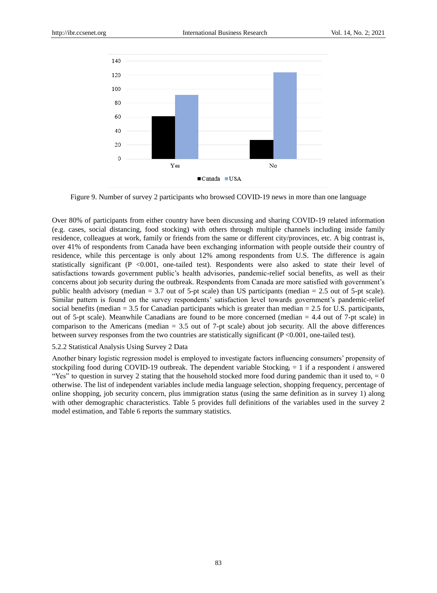

Figure 9. Number of survey 2 participants who browsed COVID-19 news in more than one language

Over 80% of participants from either country have been discussing and sharing COVID-19 related information (e.g. cases, social distancing, food stocking) with others through multiple channels including inside family residence, colleagues at work, family or friends from the same or different city/provinces, etc. A big contrast is, over 41% of respondents from Canada have been exchanging information with people outside their country of residence, while this percentage is only about 12% among respondents from U.S. The difference is again statistically significant (P  $< 0.001$ , one-tailed test). Respondents were also asked to state their level of satisfactions towards government public's health advisories, pandemic-relief social benefits, as well as their concerns about job security during the outbreak. Respondents from Canada are more satisfied with government"s public health advisory (median = 3.7 out of 5-pt scale) than US participants (median = 2.5 out of 5-pt scale). Similar pattern is found on the survey respondents' satisfaction level towards government's pandemic-relief social benefits (median  $= 3.5$  for Canadian participants which is greater than median  $= 2.5$  for U.S. participants, out of 5-pt scale). Meanwhile Canadians are found to be more concerned (median = 4.4 out of 7-pt scale) in comparison to the Americans (median  $= 3.5$  out of 7-pt scale) about job security. All the above differences between survey responses from the two countries are statistically significant (P <0.001, one-tailed test).

## 5.2.2 Statistical Analysis Using Survey 2 Data

Another binary logistic regression model is employed to investigate factors influencing consumers" propensity of stockpiling food during COVID-19 outbreak. The dependent variable Stocking<sub>i</sub> = 1 if a respondent *i* answered "Yes" to question in survey 2 stating that the household stocked more food during pandemic than it used to,  $= 0$ otherwise. The list of independent variables include media language selection, shopping frequency, percentage of online shopping, job security concern, plus immigration status (using the same definition as in survey 1) along with other demographic characteristics. Table 5 provides full definitions of the variables used in the survey 2 model estimation, and Table 6 reports the summary statistics.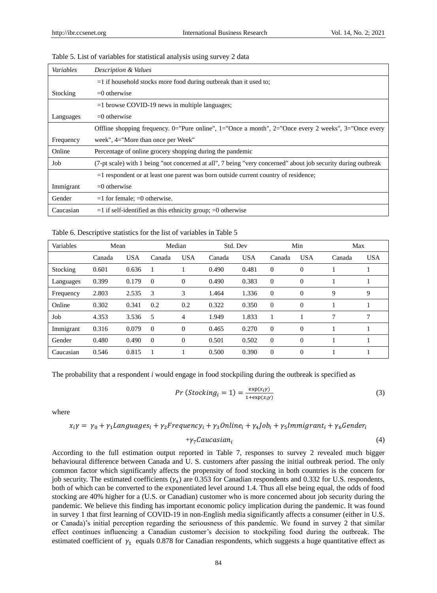| Variables | Description & Values                                                                                          |
|-----------|---------------------------------------------------------------------------------------------------------------|
|           | $=$ 1 if household stocks more food during outbreak than it used to;                                          |
| Stocking  | $=0$ otherwise                                                                                                |
|           | $=1$ browse COVID-19 news in multiple languages;                                                              |
| Languages | $=0$ otherwise                                                                                                |
|           | Offline shopping frequency. 0="Pure online", 1="Once a month", 2="Once every 2 weeks", 3="Once every          |
| Frequency | week", $4=$ "More than once per Week"                                                                         |
| Online    | Percentage of online grocery shopping during the pandemic                                                     |
| Job       | (7-pt scale) with 1 being "not concerned at all", 7 being "very concerned" about job security during outbreak |
|           | $=$ 1 respondent or at least one parent was born outside current country of residence;                        |
| Immigrant | $=0$ otherwise                                                                                                |
| Gender    | $=1$ for female; $=0$ otherwise.                                                                              |
| Caucasian | $=$ 1 if self-identified as this ethnicity group; $=$ 0 otherwise                                             |

Table 5. List of variables for statistical analysis using survey 2 data

Table 6. Descriptive statistics for the list of variables in Table 5

| Variables | Mean   |            |          | Median     |        | Std. Dev   | Min      |              | Max    |            |
|-----------|--------|------------|----------|------------|--------|------------|----------|--------------|--------|------------|
|           | Canada | <b>USA</b> | Canada   | <b>USA</b> | Canada | <b>USA</b> | Canada   | <b>USA</b>   | Canada | <b>USA</b> |
| Stocking  | 0.601  | 0.636      |          |            | 0.490  | 0.481      | $\Omega$ | $\Omega$     |        |            |
| Languages | 0.399  | 0.179      | $\Omega$ | $\Omega$   | 0.490  | 0.383      | $\Omega$ | $\theta$     |        |            |
| Frequency | 2.803  | 2.535      | 3        | 3          | 1.464  | 1.336      | $\Omega$ | $\Omega$     | 9      | 9          |
| Online    | 0.302  | 0.341      | 0.2      | 0.2        | 0.322  | 0.350      | $\Omega$ | $\Omega$     |        |            |
| Job       | 4.353  | 3.536      | 5        | 4          | 1.949  | 1.833      | 1        |              | 7      | 7          |
| Immigrant | 0.316  | 0.079      | $\theta$ | $\Omega$   | 0.465  | 0.270      | $\Omega$ | $\theta$     |        |            |
| Gender    | 0.480  | 0.490      | $\theta$ | $\Omega$   | 0.501  | 0.502      | $\Omega$ | $\theta$     |        |            |
| Caucasian | 0.546  | 0.815      |          |            | 0.500  | 0.390      | $\theta$ | $\mathbf{0}$ |        |            |

The probability that a respondent *i* would engage in food stockpiling during the outbreak is specified as

$$
Pr(Stocking_i = 1) = \frac{\exp(x_i \gamma)}{1 + \exp(x_i \gamma)}
$$
(3)

where

 $x_i \gamma = \gamma_0 + \gamma_1$ Language $s_i + \gamma_2$ Frequenc $y_i + \gamma_3$ Online $_i + \gamma_4$ Jo $b_i + \gamma_5$ Immigrant $_i + \gamma_6$ Gende $r_i$ 

$$
+\gamma_7 Caucasian_i\tag{4}
$$

According to the full estimation output reported in Table 7, responses to survey 2 revealed much bigger behavioural difference between Canada and U. S. customers after passing the initial outbreak period. The only common factor which significantly affects the propensity of food stocking in both countries is the concern for job security. The estimated coefficients  $(\gamma_4)$  are 0.353 for Canadian respondents and 0.332 for U.S. respondents, both of which can be converted to the exponentiated level around 1.4. Thus all else being equal, the odds of food stocking are 40% higher for a (U.S. or Canadian) customer who is more concerned about job security during the pandemic. We believe this finding has important economic policy implication during the pandemic. It was found in survey 1 that first learning of COVID-19 in non-English media significantly affects a consumer (either in U.S. or Canada)"s initial perception regarding the seriousness of this pandemic. We found in survey 2 that similar effect continues influencing a Canadian customer's decision to stockpiling food during the outbreak. The estimated coefficient of  $\gamma_1$  equals 0.878 for Canadian respondents, which suggests a huge quantitative effect as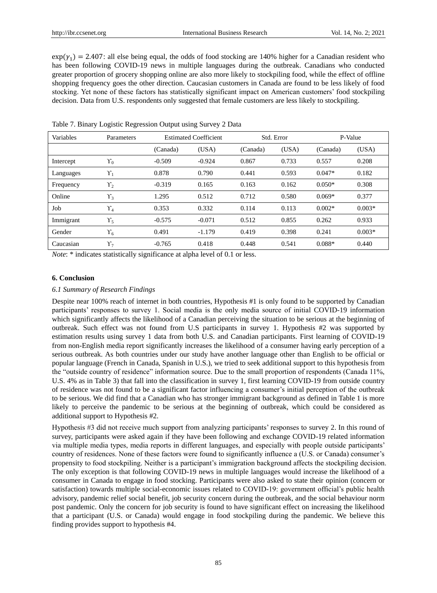$\exp(\gamma_1) = 2.407$ : all else being equal, the odds of food stocking are 140% higher for a Canadian resident who has been following COVID-19 news in multiple languages during the outbreak. Canadians who conducted greater proportion of grocery shopping online are also more likely to stockpiling food, while the effect of offline shopping frequency goes the other direction. Caucasian customers in Canada are found to be less likely of food stocking. Yet none of these factors has statistically significant impact on American customers" food stockpiling decision. Data from U.S. respondents only suggested that female customers are less likely to stockpiling.

| Variables | Parameters     | <b>Estimated Coefficient</b> |          | Std. Error |       | P-Value  |          |
|-----------|----------------|------------------------------|----------|------------|-------|----------|----------|
|           |                | (Canada)                     | (USA)    | (Canada)   | (USA) | (Canada) | (USA)    |
| Intercept | $\Upsilon_0$   | $-0.509$                     | $-0.924$ | 0.867      | 0.733 | 0.557    | 0.208    |
| Languages | $\Upsilon_1$   | 0.878                        | 0.790    | 0.441      | 0.593 | $0.047*$ | 0.182    |
| Frequency | $\Upsilon_{2}$ | $-0.319$                     | 0.165    | 0.163      | 0.162 | $0.050*$ | 0.308    |
| Online    | $\Upsilon_3$   | 1.295                        | 0.512    | 0.712      | 0.580 | $0.069*$ | 0.377    |
| Job       | $\Upsilon_4$   | 0.353                        | 0.332    | 0.114      | 0.113 | $0.002*$ | $0.003*$ |
| Immigrant | $\Upsilon_5$   | $-0.575$                     | $-0.071$ | 0.512      | 0.855 | 0.262    | 0.933    |
| Gender    | $\Upsilon_6$   | 0.491                        | $-1.179$ | 0.419      | 0.398 | 0.241    | $0.003*$ |
| Caucasian | $\Upsilon_7$   | $-0.765$                     | 0.418    | 0.448      | 0.541 | $0.088*$ | 0.440    |

Table 7. Binary Logistic Regression Output using Survey 2 Data

*Note*: \* indicates statistically significance at alpha level of 0.1 or less.

#### **6. Conclusion**

#### *6.1 Summary of Research Findings*

Despite near 100% reach of internet in both countries, Hypothesis #1 is only found to be supported by Canadian participants" responses to survey 1. Social media is the only media source of initial COVID-19 information which significantly affects the likelihood of a Canadian perceiving the situation to be serious at the beginning of outbreak. Such effect was not found from U.S participants in survey 1. Hypothesis #2 was supported by estimation results using survey 1 data from both U.S. and Canadian participants. First learning of COVID-19 from non-English media report significantly increases the likelihood of a consumer having early perception of a serious outbreak. As both countries under our study have another language other than English to be official or popular language (French in Canada, Spanish in U.S.), we tried to seek additional support to this hypothesis from the "outside country of residence" information source. Due to the small proportion of respondents (Canada 11%, U.S. 4% as in Table 3) that fall into the classification in survey 1, first learning COVID-19 from outside country of residence was not found to be a significant factor influencing a consumer"s initial perception of the outbreak to be serious. We did find that a Canadian who has stronger immigrant background as defined in Table 1 is more likely to perceive the pandemic to be serious at the beginning of outbreak, which could be considered as additional support to Hypothesis #2.

Hypothesis #3 did not receive much support from analyzing participants' responses to survey 2. In this round of survey, participants were asked again if they have been following and exchange COVID-19 related information via multiple media types, media reports in different languages, and especially with people outside participants" country of residences. None of these factors were found to significantly influence a (U.S. or Canada) consumer"s propensity to food stockpiling. Neither is a participant"s immigration background affects the stockpiling decision. The only exception is that following COVID-19 news in multiple languages would increase the likelihood of a consumer in Canada to engage in food stocking. Participants were also asked to state their opinion (concern or satisfaction) towards multiple social-economic issues related to COVID-19: government official's public health advisory, pandemic relief social benefit, job security concern during the outbreak, and the social behaviour norm post pandemic. Only the concern for job security is found to have significant effect on increasing the likelihood that a participant (U.S. or Canada) would engage in food stockpiling during the pandemic. We believe this finding provides support to hypothesis #4.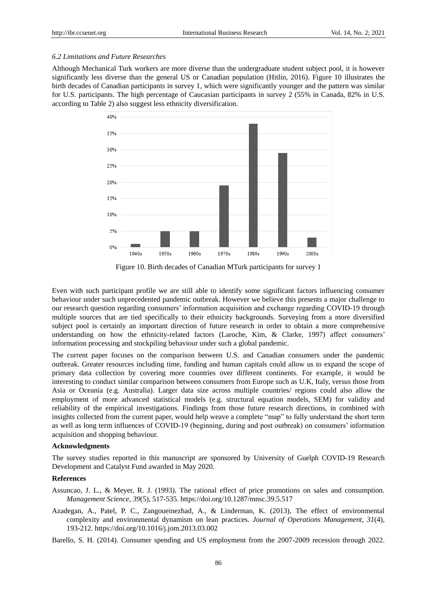## *6.2 Limitations and Future Researches*

Although Mechanical Turk workers are more diverse than the undergraduate student subject pool, it is however significantly less diverse than the general US or Canadian population (Hitlin, 2016). Figure 10 illustrates the birth decades of Canadian participants in survey 1, which were significantly younger and the pattern was similar for U.S. participants. The high percentage of Caucasian participants in survey 2 (55% in Canada, 82% in U.S. according to Table 2) also suggest less ethnicity diversification.



Figure 10. Birth decades of Canadian MTurk participants for survey 1

Even with such participant profile we are still able to identify some significant factors influencing consumer behaviour under such unprecedented pandemic outbreak. However we believe this presents a major challenge to our research question regarding consumers" information acquisition and exchange regarding COVID-19 through multiple sources that are tied specifically to their ethnicity backgrounds. Surveying from a more diversified subject pool is certainly an important direction of future research in order to obtain a more comprehensive understanding on how the ethnicity-related factors (Laroche, Kim, & Clarke, 1997) affect consumers' information processing and stockpiling behaviour under such a global pandemic.

The current paper focuses on the comparison between U.S. and Canadian consumers under the pandemic outbreak. Greater resources including time, funding and human capitals could allow us to expand the scope of primary data collection by covering more countries over different continents. For example, it would be interesting to conduct similar comparison between consumers from Europe such as U.K, Italy, versus those from Asia or Oceania (e.g. Australia). Larger data size across multiple countries/ regions could also allow the employment of more advanced statistical models (e.g. structural equation models, SEM) for validity and reliability of the empirical investigations. Findings from those future research directions, in combined with insights collected from the current paper, would help weave a complete "map" to fully understand the short term as well as long term influences of COVID-19 (beginning, during and post outbreak) on consumers" information acquisition and shopping behaviour.

## **Acknowledgments**

The survey studies reported in this manuscript are sponsored by University of Guelph COVID-19 Research Development and Catalyst Fund awarded in May 2020.

## **References**

- Assuncao, J. L., & Meyer, R. J. (1993). The rational effect of price promotions on sales and consumption. *Management Science, 39*(5), 517-535.<https://doi.org/10.1287/mnsc.39.5.517>
- Azadegan, A., Patel, P. C., Zangoueinezhad, A., & Linderman, K. (2013), The effect of environmental complexity and environmental dynamism on lean practices. *Journal of Operations Management, 31*(4), 193-212.<https://doi.org/10.1016/j.jom.2013.03.002>

Barello, S. H. (2014). Consumer spending and US employment from the 2007-2009 recession through 2022.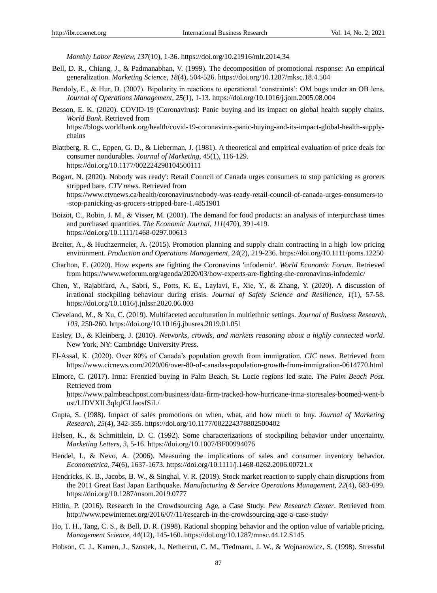*Monthly Labor Review, 137*(10), 1-36.<https://doi.org/10.21916/mlr.2014.34>

- Bell, D. R., Chiang, J., & Padmanabhan, V. (1999). The decomposition of promotional response: An empirical generalization. *Marketing Science, 18*(4), 504-526.<https://doi.org/10.1287/mksc.18.4.504>
- Bendoly, E., & Hur, D. (2007). Bipolarity in reactions to operational "constraints": OM bugs under an OB lens. *Journal of Operations Management, 25*(1), 1-13[. https://doi.org/10.1016/j.jom.2005.08.004](https://doi.org/10.1016/j.jom.2005.08.004)
- Besson, E. K. (2020). COVID-19 (Coronavirus): Panic buying and its impact on global health supply chains. *World Bank*. Retrieved from [https://blogs.worldbank.org/health/covid-19-coronavirus-panic-buying-and-its-impact-global-health-supply](https://blogs.worldbank.org/health/covid-19-coronavirus-panic-buying-and-its-impact-global-health-supply-chains)[chains](https://blogs.worldbank.org/health/covid-19-coronavirus-panic-buying-and-its-impact-global-health-supply-chains)
- Blattberg, R. C., Eppen, G. D., & Lieberman, J. (1981). A theoretical and empirical evaluation of price deals for consumer nondurables. *Journal of Marketing, 45*(1), 116-129. <https://doi.org/10.1177/002224298104500111>
- Bogart, N. (2020). Nobody was ready': Retail Council of Canada urges consumers to stop panicking as grocers stripped bare. *CTV news*. Retrieved from [https://www.ctvnews.ca/health/coronavirus/nobody-was-ready-retail-council-of-canada-urges-consumers-to](https://www.ctvnews.ca/health/coronavirus/nobody-was-ready-retail-council-of-canada-urges-consumers-to-stop-panicking-as-grocers-stripped-bare-1.4851901) [-stop-panicking-as-grocers-stripped-bare-1.4851901](https://www.ctvnews.ca/health/coronavirus/nobody-was-ready-retail-council-of-canada-urges-consumers-to-stop-panicking-as-grocers-stripped-bare-1.4851901)
- Boizot, C., Robin, J. M., & Visser, M. (2001). The demand for food products: an analysis of interpurchase times and purchased quantities. *The Economic Journal, 111*(470), 391-419. <https://doi.org/10.1111/1468-0297.00613>
- Breiter, A., & Huchzermeier, A. (2015). Promotion planning and supply chain contracting in a high–low pricing environment. *Production and Operations Management, 24*(2), 219-236.<https://doi.org/10.1111/poms.12250>
- Charlton, E. (2020). How experts are fighting the Coronavirus 'infodemic'. *World Economic Forum*. Retrieved from<https://www.weforum.org/agenda/2020/03/how-experts-are-fighting-the-coronavirus-infodemic/>
- Chen, Y., Rajabifard, A., Sabri, S., Potts, K. E., Laylavi, F., Xie, Y., & Zhang, Y. (2020). A discussion of irrational stockpiling behaviour during crisis. *Journal of Safety Science and Resilience, 1*(1), 57-58. <https://doi.org/10.1016/j.jnlssr.2020.06.003>
- Cleveland, M., & Xu, C. (2019). Multifaceted acculturation in multiethnic settings. *Journal of Business Research, 103*, 250-260.<https://doi.org/10.1016/j.jbusres.2019.01.051>
- Easley, D., & Kleinberg, J. (2010). *Networks, crowds, and markets reasoning about a highly connected world*. New York, NY: Cambridge University Press.
- El-Assal, K. (2020). Over 80% of Canada"s population growth from immigration. *CIC news*. Retrieved from <https://www.cicnews.com/2020/06/over-80-of-canadas-population-growth-from-immigration-0614770.html>
- Elmore, C. (2017). Irma: Frenzied buying in Palm Beach, St. Lucie regions led state. *The Palm Beach Post*. Retrieved from [https://www.palmbeachpost.com/business/data-firm-tracked-how-hurricane-irma-storesales-boomed-went-b](https://www.palmbeachpost.com/business/data-firm-tracked-how-hurricane-irma-storesales-boomed-went-bust/LIDVXIL3qlqJGLlaosfSiL/) [ust/LIDVXIL3qlqJGLlaosfSiL/](https://www.palmbeachpost.com/business/data-firm-tracked-how-hurricane-irma-storesales-boomed-went-bust/LIDVXIL3qlqJGLlaosfSiL/)
- Gupta, S. (1988). Impact of sales promotions on when, what, and how much to buy. *Journal of Marketing Research, 25*(4), 342-355[. https://doi.org/10.1177/002224378802500402](https://doi.org/10.1177/002224378802500402)
- Helsen, K., & Schmittlein, D. C. (1992). Some characterizations of stockpiling behavior under uncertainty. *Marketing Letters, 3*, 5-16.<https://doi.org/10.1007/BF00994076>
- Hendel, I., & Nevo, A. (2006). Measuring the implications of sales and consumer inventory behavior. *Econometrica, 74*(6), 1637-1673.<https://doi.org/10.1111/j.1468-0262.2006.00721.x>
- Hendricks, K. B., Jacobs, B. W., & Singhal, V. R. (2019). Stock market reaction to supply chain disruptions from the 2011 Great East Japan Earthquake. *Manufacturing & Service Operations Management, 22*(4), 683-699. <https://doi.org/10.1287/msom.2019.0777>
- Hitlin, P. (2016). Research in the Crowdsourcing Age, a Case Study. *Pew Research Center*. Retrieved from <http://www.pewinternet.org/2016/07/11/research-in-the-crowdsourcing-age-a-case-study/>
- Ho, T. H., Tang, C. S., & Bell, D. R. (1998). Rational shopping behavior and the option value of variable pricing. *Management Science, 44*(12), 145-160.<https://doi.org/10.1287/mnsc.44.12.S145>
- Hobson, C. J., Kamen, J., Szostek, J., Nethercut, C. M., Tiedmann, J. W., & Wojnarowicz, S. (1998). Stressful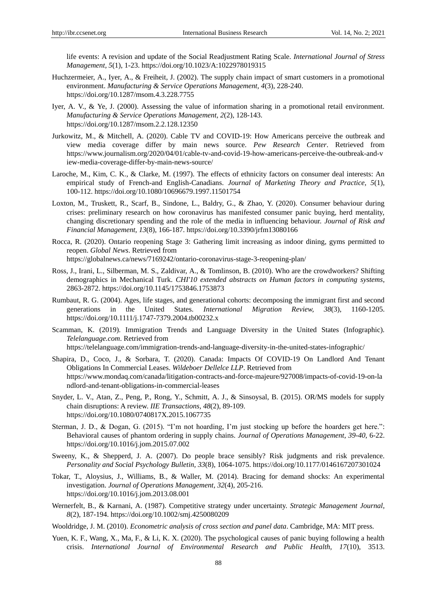life events: A revision and update of the Social Readjustment Rating Scale. *International Journal of Stress Management, 5*(1), 1-23.<https://doi.org/10.1023/A:1022978019315>

- Huchzermeier, A., Iyer, A., & Freiheit, J. (2002). The supply chain impact of smart customers in a promotional environment. *Manufacturing & Service Operations Management, 4*(3), 228-240. <https://doi.org/10.1287/msom.4.3.228.7755>
- Iyer, A. V., & Ye, J. (2000). Assessing the value of information sharing in a promotional retail environment. *Manufacturing & Service Operations Management, 2*(2), 128-143. <https://doi.org/10.1287/msom.2.2.128.12350>
- Jurkowitz, M., & Mitchell, A. (2020). Cable TV and COVID-19: How Americans perceive the outbreak and view media coverage differ by main news source. *Pew Research Center*. Retrieved from [https://www.journalism.org/2020/04/01/cable-tv-and-covid-19-how-americans-perceive-the-outbreak-and-v](https://www.journalism.org/2020/04/01/cable-tv-and-covid-19-how-americans-perceive-the-outbreak-and-view-media-coverage-differ-by-main-news-source/) [iew-media-coverage-differ-by-main-news-source/](https://www.journalism.org/2020/04/01/cable-tv-and-covid-19-how-americans-perceive-the-outbreak-and-view-media-coverage-differ-by-main-news-source/)
- Laroche, M., Kim, C. K., & Clarke, M. (1997). The effects of ethnicity factors on consumer deal interests: An empirical study of French-and English-Canadians. *Journal of Marketing Theory and Practice, 5*(1), 100-112.<https://doi.org/10.1080/10696679.1997.11501754>
- Loxton, M., Truskett, R., Scarf, B., Sindone, L., Baldry, G., & Zhao, Y. (2020). Consumer behaviour during crises: preliminary research on how coronavirus has manifested consumer panic buying, herd mentality, changing discretionary spending and the role of the media in influencing behaviour. *Journal of Risk and Financial Management, 13*(8), 166-187[. https://doi.org/10.3390/jrfm13080166](https://doi.org/10.3390/jrfm13080166)
- Rocca, R. (2020). Ontario reopening Stage 3: Gathering limit increasing as indoor dining, gyms permitted to reopen. *Global News*. Retrieved from <https://globalnews.ca/news/7169242/ontario-coronavirus-stage-3-reopening-plan/>
- Ross, J., Irani, L., Silberman, M. S., Zaldivar, A., & Tomlinson, B. (2010). Who are the crowdworkers? Shifting demographics in Mechanical Turk. *CHI'10 extended abstracts on Human factors in computing systems*, 2863-2872.<https://doi.org/10.1145/1753846.1753873>
- Rumbaut, R. G. (2004). Ages, life stages, and generational cohorts: decomposing the immigrant first and second generations in the United States. *International Migration Review, 38*(3), 1160-1205. <https://doi.org/10.1111/j.1747-7379.2004.tb00232.x>
- Scamman, K. (2019). Immigration Trends and Language Diversity in the United States (Infographic). *Telelanguage.com*. Retrieved from

<https://telelanguage.com/immigration-trends-and-language-diversity-in-the-united-states-infographic/>

- Shapira, D., Coco, J., & Sorbara, T. (2020). Canada: Impacts Of COVID-19 On Landlord And Tenant Obligations In Commercial Leases. *Wildeboer Dellelce LLP*. Retrieved from [https://www.mondaq.com/canada/litigation-contracts-and-force-majeure/927008/impacts-of-covid-19-on-la](https://www.mondaq.com/canada/litigation-contracts-and-force-majeure/927008/impacts-of-covid-19-on-landlord-and-tenant-obligations-in-commercial-leases) [ndlord-and-tenant-obligations-in-commercial-leases](https://www.mondaq.com/canada/litigation-contracts-and-force-majeure/927008/impacts-of-covid-19-on-landlord-and-tenant-obligations-in-commercial-leases)
- Snyder, L. V., Atan, Z., Peng, P., Rong, Y., Schmitt, A. J., & Sinsoysal, B. (2015). OR/MS models for supply chain disruptions: A review. *IIE Transactions, 48*(2), 89-109. <https://doi.org/10.1080/0740817X.2015.1067735>
- Sterman, J. D., & Dogan, G. (2015). "I"m not hoarding, I"m just stocking up before the hoarders get here.": Behavioral causes of phantom ordering in supply chains. *Journal of Operations Management, 39-40*, 6-22. <https://doi.org/10.1016/j.jom.2015.07.002>
- Sweeny, K., & Shepperd, J. A. (2007). Do people brace sensibly? Risk judgments and risk prevalence. *Personality and Social Psychology Bulletin, 33*(8), 1064-1075[. https://doi.org/10.1177/0146167207301024](https://doi.org/10.1177/0146167207301024)
- Tokar, T., Aloysius, J., Williams, B., & Waller, M. (2014). Bracing for demand shocks: An experimental investigation. *Journal of Operations Management, 32*(4), 205-216. <https://doi.org/10.1016/j.jom.2013.08.001>
- Wernerfelt, B., & Karnani, A. (1987). Competitive strategy under uncertainty. *Strategic Management Journal, 8*(2), 187-194.<https://doi.org/10.1002/smj.4250080209>
- Wooldridge, J. M. (2010). *Econometric analysis of cross section and panel data*. Cambridge, MA: MIT press.
- Yuen, K. F., Wang, X., Ma, F., & Li, K. X. (2020). The psychological causes of panic buying following a health crisis. *International Journal of Environmental Research and Public Health, 17*(10), 3513.